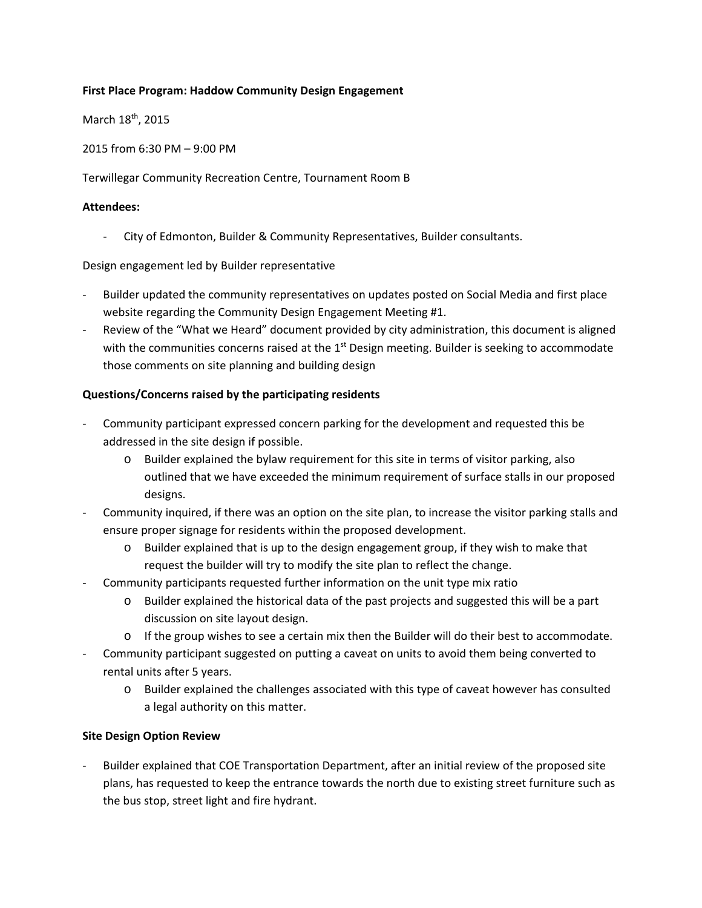### **First Place Program: Haddow Community Design Engagement**

March 18<sup>th</sup>, 2015

2015 from 6:30 PM – 9:00 PM

Terwillegar Community Recreation Centre, Tournament Room B

#### **Attendees:**

‐ City of Edmonton, Builder & Community Representatives, Builder consultants.

Design engagement led by Builder representative

- ‐ Builder updated the community representatives on updates posted on Social Media and first place website regarding the Community Design Engagement Meeting #1.
- ‐ Review of the "What we Heard" document provided by city administration, this document is aligned with the communities concerns raised at the  $1<sup>st</sup>$  Design meeting. Builder is seeking to accommodate those comments on site planning and building design

## **Questions/Concerns raised by the participating residents**

- ‐ Community participant expressed concern parking for the development and requested this be addressed in the site design if possible.
	- o Builder explained the bylaw requirement for this site in terms of visitor parking, also outlined that we have exceeded the minimum requirement of surface stalls in our proposed designs.
- ‐ Community inquired, if there was an option on the site plan, to increase the visitor parking stalls and ensure proper signage for residents within the proposed development.
	- o Builder explained that is up to the design engagement group, if they wish to make that request the builder will try to modify the site plan to reflect the change.
- ‐ Community participants requested further information on the unit type mix ratio
	- o Builder explained the historical data of the past projects and suggested this will be a part discussion on site layout design.
	- o If the group wishes to see a certain mix then the Builder will do their best to accommodate.
- ‐ Community participant suggested on putting a caveat on units to avoid them being converted to rental units after 5 years.
	- o Builder explained the challenges associated with this type of caveat however has consulted a legal authority on this matter.

## **Site Design Option Review**

‐ Builder explained that COE Transportation Department, after an initial review of the proposed site plans, has requested to keep the entrance towards the north due to existing street furniture such as the bus stop, street light and fire hydrant.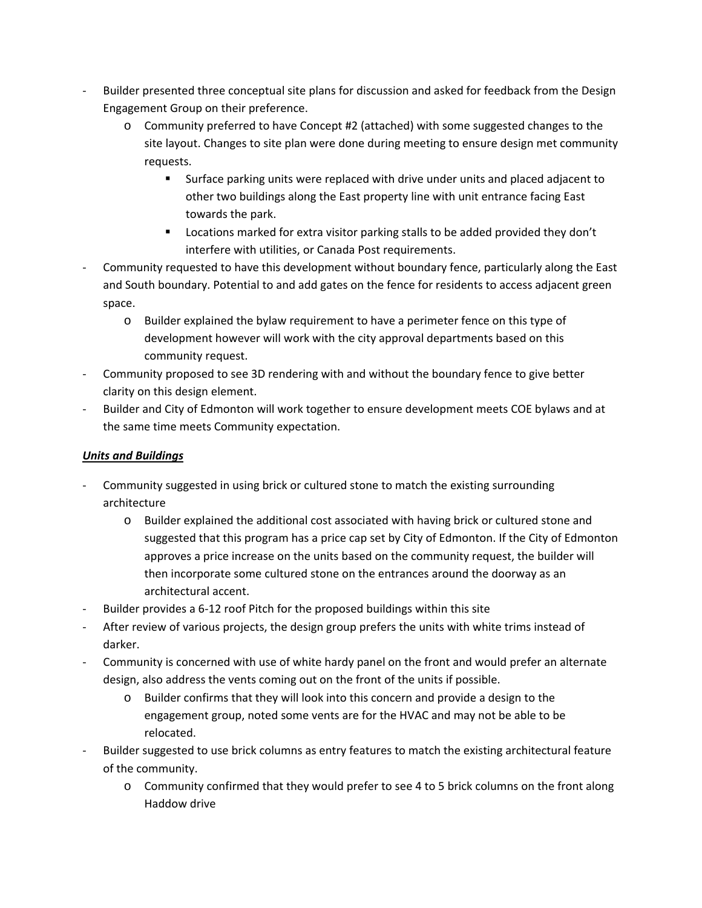- ‐ Builder presented three conceptual site plans for discussion and asked for feedback from the Design Engagement Group on their preference.
	- o Community preferred to have Concept #2 (attached) with some suggested changes to the site layout. Changes to site plan were done during meeting to ensure design met community requests.
		- Surface parking units were replaced with drive under units and placed adjacent to other two buildings along the East property line with unit entrance facing East towards the park.
		- **EXECT** Locations marked for extra visitor parking stalls to be added provided they don't interfere with utilities, or Canada Post requirements.
- ‐ Community requested to have this development without boundary fence, particularly along the East and South boundary. Potential to and add gates on the fence for residents to access adjacent green space.
	- o Builder explained the bylaw requirement to have a perimeter fence on this type of development however will work with the city approval departments based on this community request.
- ‐ Community proposed to see 3D rendering with and without the boundary fence to give better clarity on this design element.
- ‐ Builder and City of Edmonton will work together to ensure development meets COE bylaws and at the same time meets Community expectation.

# *Units and Buildings*

- ‐ Community suggested in using brick or cultured stone to match the existing surrounding architecture
	- o Builder explained the additional cost associated with having brick or cultured stone and suggested that this program has a price cap set by City of Edmonton. If the City of Edmonton approves a price increase on the units based on the community request, the builder will then incorporate some cultured stone on the entrances around the doorway as an architectural accent.
- Builder provides a 6-12 roof Pitch for the proposed buildings within this site
- After review of various projects, the design group prefers the units with white trims instead of darker.
- ‐ Community is concerned with use of white hardy panel on the front and would prefer an alternate design, also address the vents coming out on the front of the units if possible.
	- o Builder confirms that they will look into this concern and provide a design to the engagement group, noted some vents are for the HVAC and may not be able to be relocated.
- ‐ Builder suggested to use brick columns as entry features to match the existing architectural feature of the community.
	- o Community confirmed that they would prefer to see 4 to 5 brick columns on the front along Haddow drive